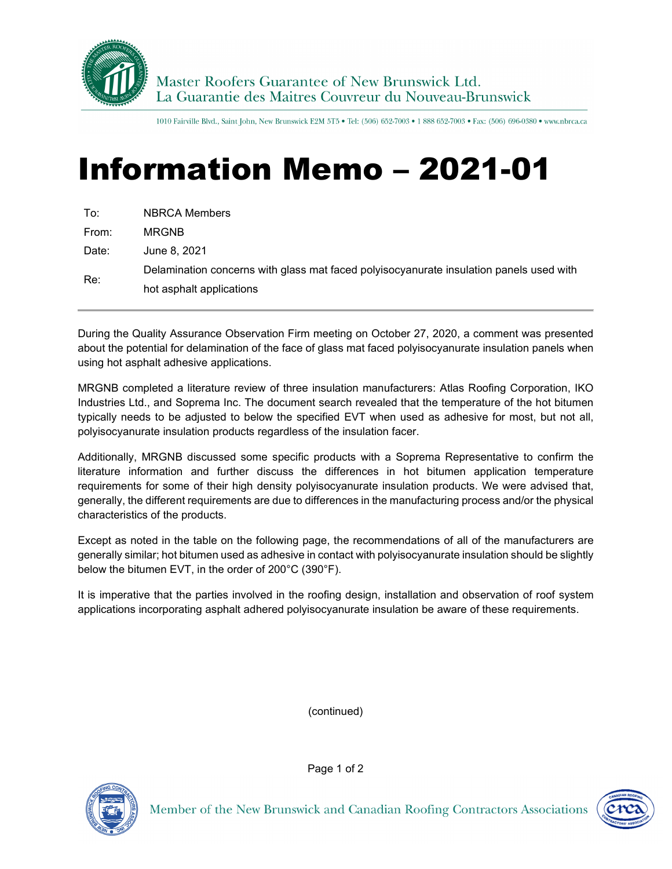

1010 Fairville Blvd., Saint John, New Brunswick E2M 5T5 . Tel: (506) 652-7003 . 1 888 652-7003 . Fax: (506) 696-0380 . www.nbrca.ca

## Information Memo – 2021-01

| To:   | <b>NBRCA Members</b>                                                                    |
|-------|-----------------------------------------------------------------------------------------|
| From: | <b>MRGNB</b>                                                                            |
| Date: | June 8, 2021                                                                            |
| Re:   | Delamination concerns with glass mat faced polyisocyanurate insulation panels used with |
|       | hot asphalt applications                                                                |

During the Quality Assurance Observation Firm meeting on October 27, 2020, a comment was presented about the potential for delamination of the face of glass mat faced polyisocyanurate insulation panels when using hot asphalt adhesive applications.

MRGNB completed a literature review of three insulation manufacturers: Atlas Roofing Corporation, IKO Industries Ltd., and Soprema Inc. The document search revealed that the temperature of the hot bitumen typically needs to be adjusted to below the specified EVT when used as adhesive for most, but not all, polyisocyanurate insulation products regardless of the insulation facer.

Additionally, MRGNB discussed some specific products with a Soprema Representative to confirm the literature information and further discuss the differences in hot bitumen application temperature requirements for some of their high density polyisocyanurate insulation products. We were advised that, generally, the different requirements are due to differences in the manufacturing process and/or the physical characteristics of the products.

Except as noted in the table on the following page, the recommendations of all of the manufacturers are generally similar; hot bitumen used as adhesive in contact with polyisocyanurate insulation should be slightly below the bitumen EVT, in the order of 200°C (390°F).

It is imperative that the parties involved in the roofing design, installation and observation of roof system applications incorporating asphalt adhered polyisocyanurate insulation be aware of these requirements.

(continued)



Page 1 of 2